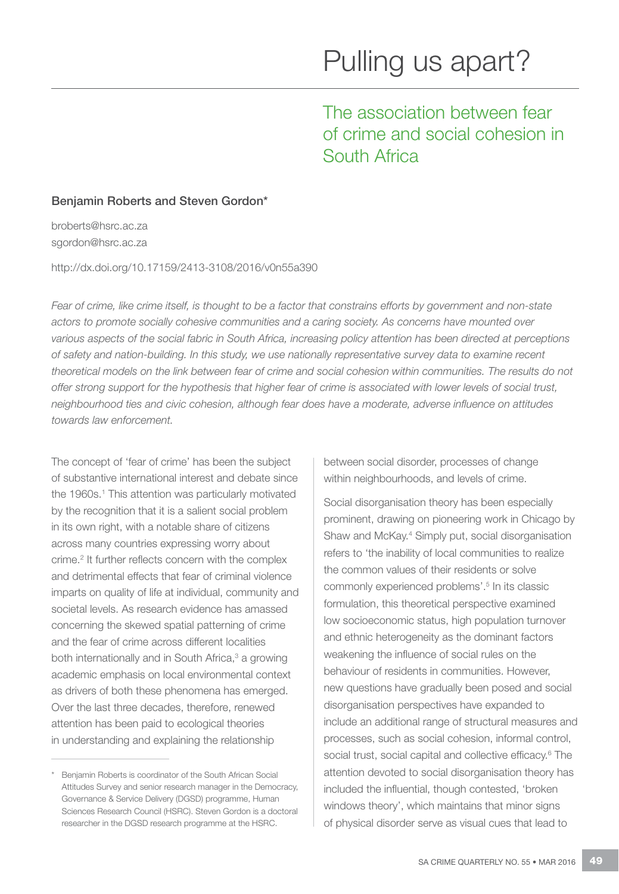# The association between fear of crime and social cohesion in South Africa

#### Benjamin Roberts and Steven Gordon\*

broberts@hsrc.ac.za sgordon@hsrc.ac.za

http://dx.doi.org/10.17159/2413-3108/2016/v0n55a390

*Fear of crime, like crime itself, is thought to be a factor that constrains efforts by government and non-state actors to promote socially cohesive communities and a caring society. As concerns have mounted over*  various aspects of the social fabric in South Africa, increasing policy attention has been directed at perceptions *of safety and nation-building. In this study, we use nationally representative survey data to examine recent*  theoretical models on the link between fear of crime and social cohesion within communities. The results do not *offer strong support for the hypothesis that higher fear of crime is associated with lower levels of social trust, neighbourhood ties and civic cohesion, although fear does have a moderate, adverse influence on attitudes towards law enforcement.*

The concept of 'fear of crime' has been the subject of substantive international interest and debate since the 1960s.<sup>1</sup> This attention was particularly motivated by the recognition that it is a salient social problem in its own right, with a notable share of citizens across many countries expressing worry about crime.2 It further reflects concern with the complex and detrimental effects that fear of criminal violence imparts on quality of life at individual, community and societal levels. As research evidence has amassed concerning the skewed spatial patterning of crime and the fear of crime across different localities both internationally and in South Africa,<sup>3</sup> a growing academic emphasis on local environmental context as drivers of both these phenomena has emerged. Over the last three decades, therefore, renewed attention has been paid to ecological theories in understanding and explaining the relationship

\* Benjamin Roberts is coordinator of the South African Social Attitudes Survey and senior research manager in the Democracy, Governance & Service Delivery (DGSD) programme, Human Sciences Research Council (HSRC). Steven Gordon is a doctoral researcher in the DGSD research programme at the HSRC.

between social disorder, processes of change within neighbourhoods, and levels of crime.

Social disorganisation theory has been especially prominent, drawing on pioneering work in Chicago by Shaw and McKay.<sup>4</sup> Simply put, social disorganisation refers to 'the inability of local communities to realize the common values of their residents or solve commonly experienced problems'.<sup>5</sup> In its classic formulation, this theoretical perspective examined low socioeconomic status, high population turnover and ethnic heterogeneity as the dominant factors weakening the influence of social rules on the behaviour of residents in communities. However, new questions have gradually been posed and social disorganisation perspectives have expanded to include an additional range of structural measures and processes, such as social cohesion, informal control, social trust, social capital and collective efficacy.<sup>6</sup> The attention devoted to social disorganisation theory has included the influential, though contested, 'broken windows theory', which maintains that minor signs of physical disorder serve as visual cues that lead to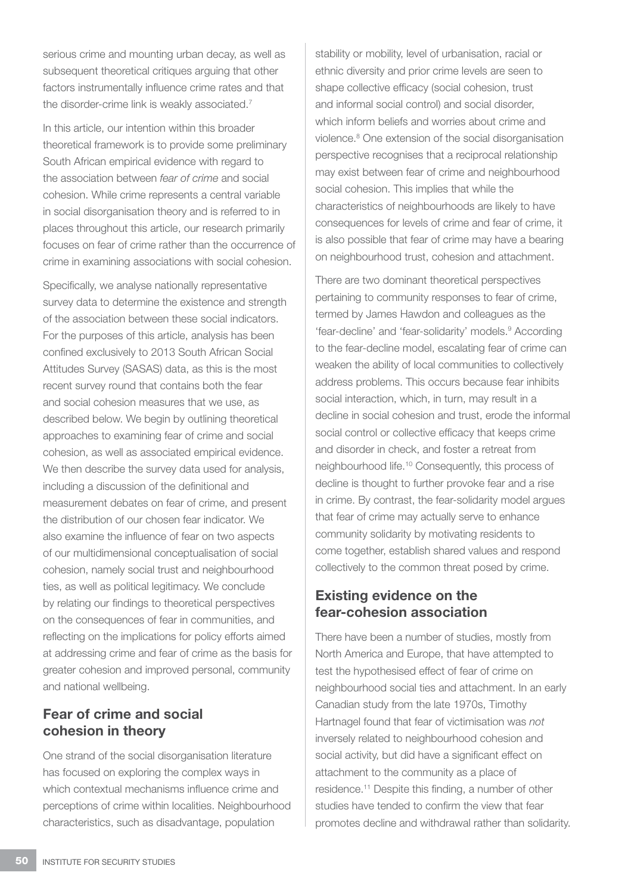serious crime and mounting urban decay, as well as subsequent theoretical critiques arguing that other factors instrumentally influence crime rates and that the disorder-crime link is weakly associated.<sup>7</sup>

In this article, our intention within this broader theoretical framework is to provide some preliminary South African empirical evidence with regard to the association between *fear of crime* and social cohesion. While crime represents a central variable in social disorganisation theory and is referred to in places throughout this article, our research primarily focuses on fear of crime rather than the occurrence of crime in examining associations with social cohesion.

Specifically, we analyse nationally representative survey data to determine the existence and strength of the association between these social indicators. For the purposes of this article, analysis has been confined exclusively to 2013 South African Social Attitudes Survey (SASAS) data, as this is the most recent survey round that contains both the fear and social cohesion measures that we use, as described below. We begin by outlining theoretical approaches to examining fear of crime and social cohesion, as well as associated empirical evidence. We then describe the survey data used for analysis, including a discussion of the definitional and measurement debates on fear of crime, and present the distribution of our chosen fear indicator. We also examine the influence of fear on two aspects of our multidimensional conceptualisation of social cohesion, namely social trust and neighbourhood ties, as well as political legitimacy. We conclude by relating our findings to theoretical perspectives on the consequences of fear in communities, and reflecting on the implications for policy efforts aimed at addressing crime and fear of crime as the basis for greater cohesion and improved personal, community and national wellbeing.

## Fear of crime and social cohesion in theory

One strand of the social disorganisation literature has focused on exploring the complex ways in which contextual mechanisms influence crime and perceptions of crime within localities. Neighbourhood characteristics, such as disadvantage, population

stability or mobility, level of urbanisation, racial or ethnic diversity and prior crime levels are seen to shape collective efficacy (social cohesion, trust and informal social control) and social disorder, which inform beliefs and worries about crime and violence.8 One extension of the social disorganisation perspective recognises that a reciprocal relationship may exist between fear of crime and neighbourhood social cohesion. This implies that while the characteristics of neighbourhoods are likely to have consequences for levels of crime and fear of crime, it is also possible that fear of crime may have a bearing on neighbourhood trust, cohesion and attachment.

There are two dominant theoretical perspectives pertaining to community responses to fear of crime, termed by James Hawdon and colleagues as the 'fear-decline' and 'fear-solidarity' models.<sup>9</sup> According to the fear-decline model, escalating fear of crime can weaken the ability of local communities to collectively address problems. This occurs because fear inhibits social interaction, which, in turn, may result in a decline in social cohesion and trust, erode the informal social control or collective efficacy that keeps crime and disorder in check, and foster a retreat from neighbourhood life.10 Consequently, this process of decline is thought to further provoke fear and a rise in crime. By contrast, the fear-solidarity model argues that fear of crime may actually serve to enhance community solidarity by motivating residents to come together, establish shared values and respond collectively to the common threat posed by crime.

## Existing evidence on the fear-cohesion association

There have been a number of studies, mostly from North America and Europe, that have attempted to test the hypothesised effect of fear of crime on neighbourhood social ties and attachment. In an early Canadian study from the late 1970s, Timothy Hartnagel found that fear of victimisation was *not* inversely related to neighbourhood cohesion and social activity, but did have a significant effect on attachment to the community as a place of residence.11 Despite this finding, a number of other studies have tended to confirm the view that fear promotes decline and withdrawal rather than solidarity.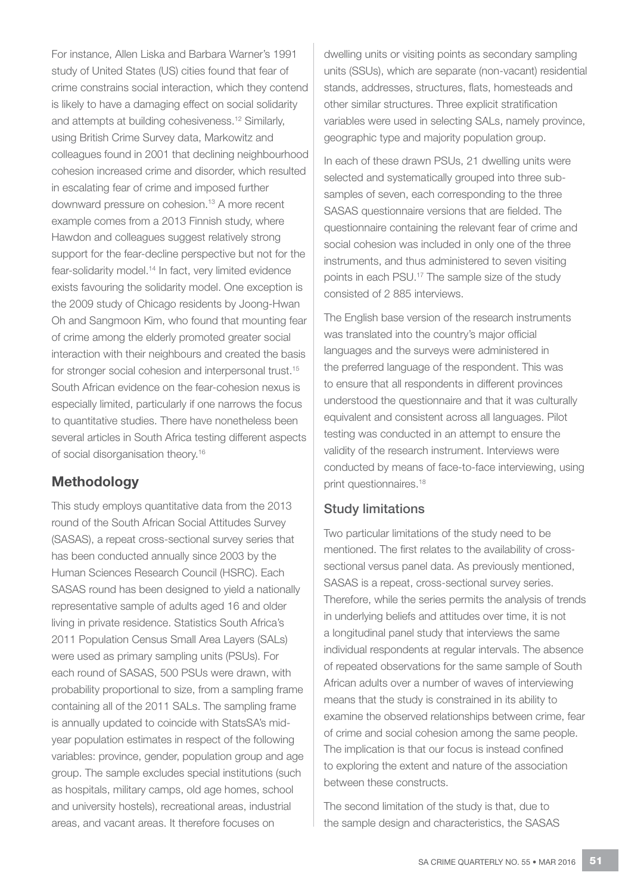For instance, Allen Liska and Barbara Warner's 1991 study of United States (US) cities found that fear of crime constrains social interaction, which they contend is likely to have a damaging effect on social solidarity and attempts at building cohesiveness.12 Similarly, using British Crime Survey data, Markowitz and colleagues found in 2001 that declining neighbourhood cohesion increased crime and disorder, which resulted in escalating fear of crime and imposed further downward pressure on cohesion.<sup>13</sup> A more recent example comes from a 2013 Finnish study, where Hawdon and colleagues suggest relatively strong support for the fear-decline perspective but not for the fear-solidarity model.<sup>14</sup> In fact, very limited evidence exists favouring the solidarity model. One exception is the 2009 study of Chicago residents by Joong-Hwan Oh and Sangmoon Kim, who found that mounting fear of crime among the elderly promoted greater social interaction with their neighbours and created the basis for stronger social cohesion and interpersonal trust.<sup>15</sup> South African evidence on the fear-cohesion nexus is especially limited, particularly if one narrows the focus to quantitative studies. There have nonetheless been several articles in South Africa testing different aspects of social disorganisation theory.16

## Methodology

This study employs quantitative data from the 2013 round of the South African Social Attitudes Survey (SASAS), a repeat cross-sectional survey series that has been conducted annually since 2003 by the Human Sciences Research Council (HSRC). Each SASAS round has been designed to yield a nationally representative sample of adults aged 16 and older living in private residence. Statistics South Africa's 2011 Population Census Small Area Layers (SALs) were used as primary sampling units (PSUs). For each round of SASAS, 500 PSUs were drawn, with probability proportional to size, from a sampling frame containing all of the 2011 SALs. The sampling frame is annually updated to coincide with StatsSA's midyear population estimates in respect of the following variables: province, gender, population group and age group. The sample excludes special institutions (such as hospitals, military camps, old age homes, school and university hostels), recreational areas, industrial areas, and vacant areas. It therefore focuses on

dwelling units or visiting points as secondary sampling units (SSUs), which are separate (non-vacant) residential stands, addresses, structures, flats, homesteads and other similar structures. Three explicit stratification variables were used in selecting SALs, namely province, geographic type and majority population group.

In each of these drawn PSUs, 21 dwelling units were selected and systematically grouped into three subsamples of seven, each corresponding to the three SASAS questionnaire versions that are fielded. The questionnaire containing the relevant fear of crime and social cohesion was included in only one of the three instruments, and thus administered to seven visiting points in each PSU.17 The sample size of the study consisted of 2 885 interviews.

The English base version of the research instruments was translated into the country's major official languages and the surveys were administered in the preferred language of the respondent. This was to ensure that all respondents in different provinces understood the questionnaire and that it was culturally equivalent and consistent across all languages. Pilot testing was conducted in an attempt to ensure the validity of the research instrument. Interviews were conducted by means of face-to-face interviewing, using print questionnaires.<sup>18</sup>

#### Study limitations

Two particular limitations of the study need to be mentioned. The first relates to the availability of crosssectional versus panel data. As previously mentioned, SASAS is a repeat, cross-sectional survey series. Therefore, while the series permits the analysis of trends in underlying beliefs and attitudes over time, it is not a longitudinal panel study that interviews the same individual respondents at regular intervals. The absence of repeated observations for the same sample of South African adults over a number of waves of interviewing means that the study is constrained in its ability to examine the observed relationships between crime, fear of crime and social cohesion among the same people. The implication is that our focus is instead confined to exploring the extent and nature of the association between these constructs.

The second limitation of the study is that, due to the sample design and characteristics, the SASAS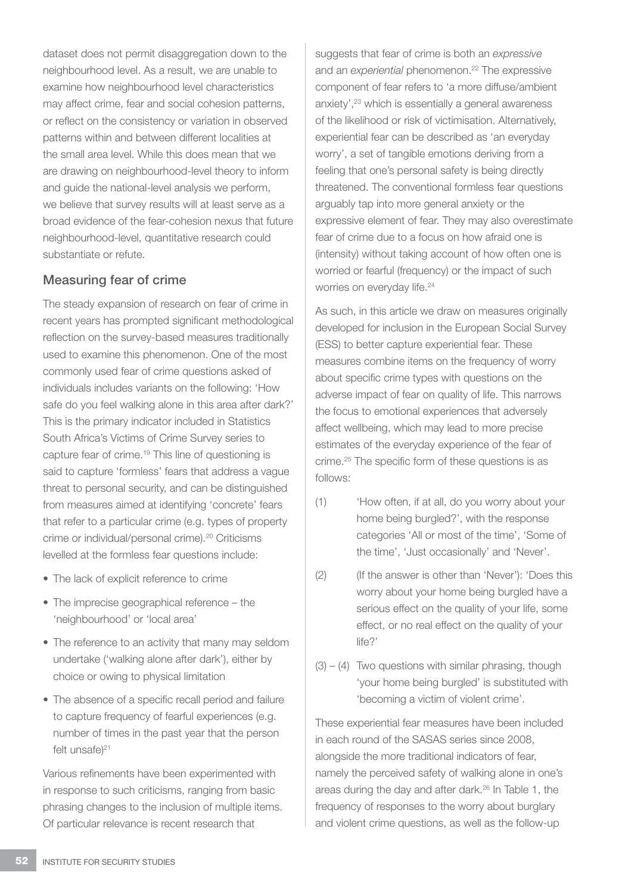dataset does not permit disaggregation down to the neighbourhood level. As a result, we are unable to examine how neighbourhood level characteristics may affect crime, fear and social cohesion patterns, or reflect on the consistency or variation in observed patterns within and between different localities at the small area level. While this does mean that we are drawing on neighbourhood-level theory to inform and guide the national-level analysis we perform, we believe that survey results will at least serve as a broad evidence of the fear-cohesion nexus that future neighbourhood-level, quantitative research could substantiate or refute.

#### Measuring fear of crime

The steady expansion of research on fear of crime in recent years has prompted significant methodological reflection on the survey-based measures traditionally used to examine this phenomenon. One of the most commonly used fear of crime questions asked of individuals includes variants on the following: 'How safe do you feel walking alone in this area after dark?' This is the primary indicator included in Statistics South Africa's Victims of Crime Survey series to capture fear of crime.19 This line of questioning is said to capture 'formless' fears that address a vague threat to personal security, and can be distinguished from measures aimed at identifying 'concrete' fears that refer to a particular crime (e.g. types of property crime or individual/personal crime).20 Criticisms levelled at the formless fear questions include:

- The lack of explicit reference to crime
- The imprecise geographical reference the 'neighbourhood' or 'local area'
- The reference to an activity that many may seldom undertake ('walking alone after dark'), either by choice or owing to physical limitation
- The absence of a specific recall period and failure to capture frequency of fearful experiences (e.g. number of times in the past year that the person felt unsafe $)^{21}$

Various refinements have been experimented with in response to such criticisms, ranging from basic phrasing changes to the inclusion of multiple items. Of particular relevance is recent research that

suggests that fear of crime is both an *expressive* and an *experiential* phenomenon.<sup>22</sup> The expressive component of fear refers to 'a more diffuse/ambient anxiety',<sup>23</sup> which is essentially a general awareness of the likelihood or risk of victimisation. Alternatively, experiential fear can be described as 'an everyday worry', a set of tangible emotions deriving from a feeling that one's personal safety is being directly threatened. The conventional formless fear questions arguably tap into more general anxiety or the expressive element of fear. They may also overestimate fear of crime due to a focus on how afraid one is (intensity) without taking account of how often one is worried or fearful (frequency) or the impact of such worries on everyday life.<sup>24</sup>

As such, in this article we draw on measures originally developed for inclusion in the European Social Survey (ESS) to better capture experiential fear. These measures combine items on the frequency of worry about specific crime types with questions on the adverse impact of fear on quality of life. This narrows the focus to emotional experiences that adversely affect wellbeing, which may lead to more precise estimates of the everyday experience of the fear of crime.25 The specific form of these questions is as follows:

- (1) 'How often, if at all, do you worry about your home being burgled?', with the response categories 'All or most of the time', 'Some of the time', 'Just occasionally' and 'Never'.
- (2) (If the answer is other than 'Never'): 'Does this worry about your home being burgled have a serious effect on the quality of your life, some effect, or no real effect on the quality of your life?'
- $(3) (4)$  Two questions with similar phrasing, though 'your home being burgled' is substituted with 'becoming a victim of violent crime'.

These experiential fear measures have been included in each round of the SASAS series since 2008, alongside the more traditional indicators of fear, namely the perceived safety of walking alone in one's areas during the day and after dark.26 In Table 1, the frequency of responses to the worry about burglary and violent crime questions, as well as the follow-up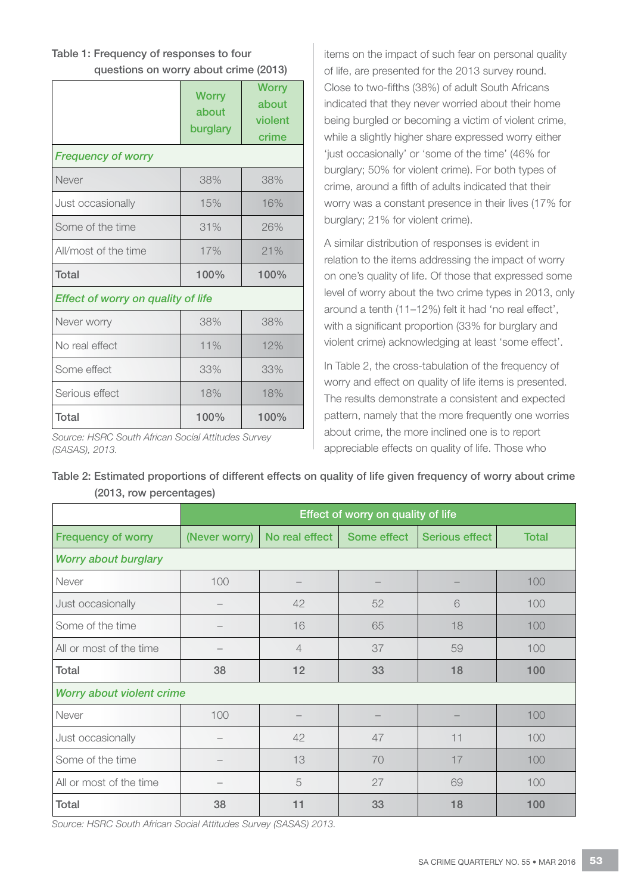### Table 1: Frequency of responses to four

questions on worry about crime (2013)

|                                           | <b>Worry</b><br>about<br>burglary | <b>Worry</b><br>about<br>violent<br>crime |  |  |  |
|-------------------------------------------|-----------------------------------|-------------------------------------------|--|--|--|
| <b>Frequency of worry</b>                 |                                   |                                           |  |  |  |
| Never                                     | 38%                               | 38%                                       |  |  |  |
| Just occasionally                         | 15%                               | 16%                                       |  |  |  |
| Some of the time                          | 31%                               | 26%                                       |  |  |  |
| All/most of the time                      | 17%                               | 21%                                       |  |  |  |
| Total                                     | 100%                              | 100%                                      |  |  |  |
| <b>Effect of worry on quality of life</b> |                                   |                                           |  |  |  |
| Never worry                               | 38%                               | 38%                                       |  |  |  |
| No real effect                            | 11%                               | 12%                                       |  |  |  |
| Some effect                               | 33%                               | 33%                                       |  |  |  |
| Serious effect                            | 18%                               | 18%                                       |  |  |  |
| Total                                     | 100%                              | 100%                                      |  |  |  |

*Source: HSRC South African Social Attitudes Survey (SASAS), 2013.*

items on the impact of such fear on personal quality of life, are presented for the 2013 survey round. Close to two-fifths (38%) of adult South Africans indicated that they never worried about their home being burgled or becoming a victim of violent crime, while a slightly higher share expressed worry either 'just occasionally' or 'some of the time' (46% for burglary; 50% for violent crime). For both types of crime, around a fifth of adults indicated that their worry was a constant presence in their lives (17% for burglary; 21% for violent crime).

A similar distribution of responses is evident in relation to the items addressing the impact of worry on one's quality of life. Of those that expressed some level of worry about the two crime types in 2013, only around a tenth (11–12%) felt it had 'no real effect', with a significant proportion (33% for burglary and violent crime) acknowledging at least 'some effect'.

In Table 2, the cross-tabulation of the frequency of worry and effect on quality of life items is presented. The results demonstrate a consistent and expected pattern, namely that the more frequently one worries about crime, the more inclined one is to report appreciable effects on quality of life. Those who

|                           | Effect of worry on quality of life |                |             |                |              |  |
|---------------------------|------------------------------------|----------------|-------------|----------------|--------------|--|
| <b>Frequency of worry</b> | (Never worry)                      | No real effect | Some effect | Serious effect | <b>Total</b> |  |
| Worry about burglary      |                                    |                |             |                |              |  |
| Never                     | 100                                |                |             |                | 100          |  |
| Just occasionally         |                                    | 42             | 52          | 6              | 100          |  |
| Some of the time          |                                    | 16             | 65          | 18             | 100          |  |
| All or most of the time   |                                    | $\overline{4}$ | 37          | 59             | 100          |  |
| Total                     | 38                                 | 12             | 33          | 18             | 100          |  |
| Worry about violent crime |                                    |                |             |                |              |  |
| Never                     | 100                                |                |             |                | 100          |  |
| Just occasionally         |                                    | 42             | 47          | 11             | 100          |  |
| Some of the time          |                                    | 13             | 70          | 17             | 100          |  |
| All or most of the time   |                                    | 5              | 27          | 69             | 100          |  |
| Total                     | 38                                 | 11             | 33          | 18             | 100          |  |

Table 2: Estimated proportions of different effects on quality of life given frequency of worry about crime (2013, row percentages)

*Source: HSRC South African Social Attitudes Survey (SASAS) 2013.*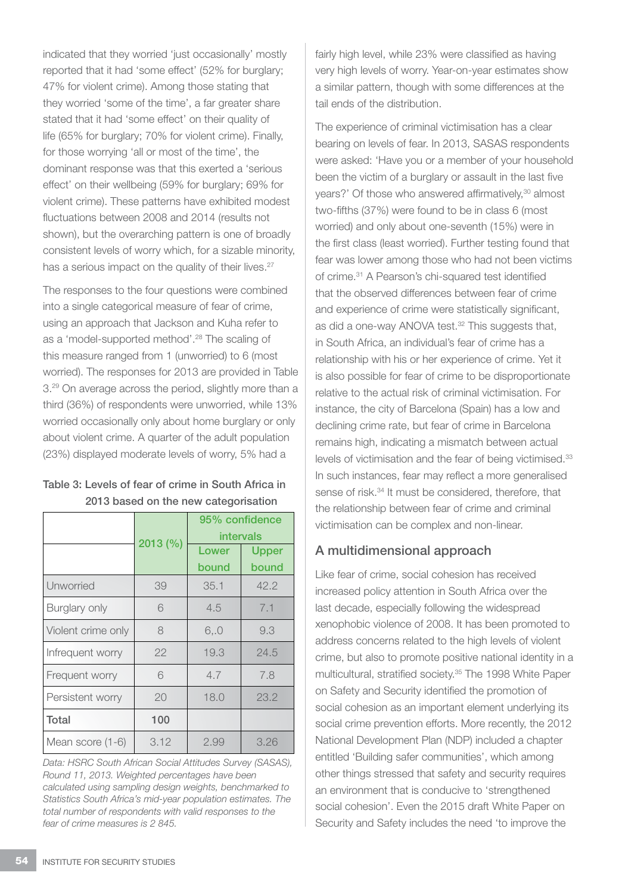indicated that they worried 'just occasionally' mostly reported that it had 'some effect' (52% for burglary; 47% for violent crime). Among those stating that they worried 'some of the time', a far greater share stated that it had 'some effect' on their quality of life (65% for burglary; 70% for violent crime). Finally, for those worrying 'all or most of the time', the dominant response was that this exerted a 'serious effect' on their wellbeing (59% for burglary; 69% for violent crime). These patterns have exhibited modest fluctuations between 2008 and 2014 (results not shown), but the overarching pattern is one of broadly consistent levels of worry which, for a sizable minority, has a serious impact on the quality of their lives.<sup>27</sup>

The responses to the four questions were combined into a single categorical measure of fear of crime, using an approach that Jackson and Kuha refer to as a 'model-supported method'.28 The scaling of this measure ranged from 1 (unworried) to 6 (most worried). The responses for 2013 are provided in Table 3.29 On average across the period, slightly more than a third (36%) of respondents were unworried, while 13% worried occasionally only about home burglary or only about violent crime. A quarter of the adult population (23%) displayed moderate levels of worry, 5% had a

#### Table 3: Levels of fear of crime in South Africa in 2013 based on the new categorisation

|                    |          | 95% confidence<br>intervals |                       |  |
|--------------------|----------|-----------------------------|-----------------------|--|
|                    | 2013 (%) | Lower<br>bound              | <b>Upper</b><br>bound |  |
| Unworried          | 39       | 35.1                        | 42.2                  |  |
| Burglary only      | 6        | 4.5                         | 7.1                   |  |
| Violent crime only | 8        | 6.0                         | 9.3                   |  |
| Infrequent worry   | 22       | 19.3                        | 24.5                  |  |
| Frequent worry     | 6        | 4.7                         | 7.8                   |  |
| Persistent worry   | 20       | 18.0                        | 23.2                  |  |
| Total              | 100      |                             |                       |  |
| Mean score (1-6)   | 3.12     | 2.99                        | 3.26                  |  |

*Data: HSRC South African Social Attitudes Survey (SASAS), Round 11, 2013. Weighted percentages have been calculated using sampling design weights, benchmarked to Statistics South Africa's mid-year population estimates. The total number of respondents with valid responses to the fear of crime measures is 2 845.* 

fairly high level, while 23% were classified as having very high levels of worry. Year-on-year estimates show a similar pattern, though with some differences at the tail ends of the distribution.

The experience of criminal victimisation has a clear bearing on levels of fear. In 2013, SASAS respondents were asked: 'Have you or a member of your household been the victim of a burglary or assault in the last five years?' Of those who answered affirmatively,30 almost two-fifths (37%) were found to be in class 6 (most worried) and only about one-seventh (15%) were in the first class (least worried). Further testing found that fear was lower among those who had not been victims of crime.31 A Pearson's chi-squared test identified that the observed differences between fear of crime and experience of crime were statistically significant, as did a one-way ANOVA test.<sup>32</sup> This suggests that, in South Africa, an individual's fear of crime has a relationship with his or her experience of crime. Yet it is also possible for fear of crime to be disproportionate relative to the actual risk of criminal victimisation. For instance, the city of Barcelona (Spain) has a low and declining crime rate, but fear of crime in Barcelona remains high, indicating a mismatch between actual levels of victimisation and the fear of being victimised.<sup>33</sup> In such instances, fear may reflect a more generalised sense of risk.<sup>34</sup> It must be considered, therefore, that the relationship between fear of crime and criminal victimisation can be complex and non-linear.

#### A multidimensional approach

Like fear of crime, social cohesion has received increased policy attention in South Africa over the last decade, especially following the widespread xenophobic violence of 2008. It has been promoted to address concerns related to the high levels of violent crime, but also to promote positive national identity in a multicultural, stratified society.35 The 1998 White Paper on Safety and Security identified the promotion of social cohesion as an important element underlying its social crime prevention efforts. More recently, the 2012 National Development Plan (NDP) included a chapter entitled 'Building safer communities', which among other things stressed that safety and security requires an environment that is conducive to 'strengthened social cohesion'. Even the 2015 draft White Paper on Security and Safety includes the need 'to improve the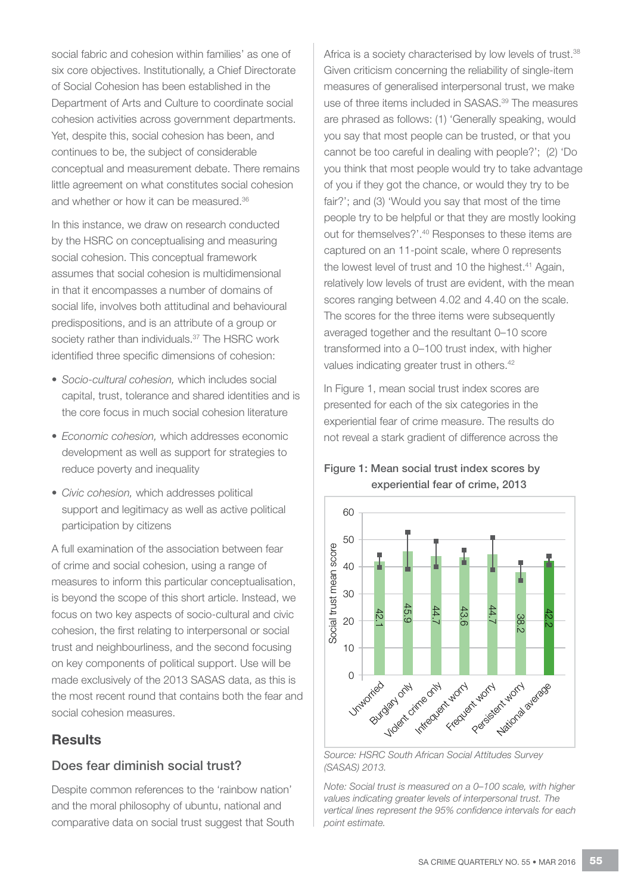social fabric and cohesion within families' as one of six core objectives. Institutionally, a Chief Directorate of Social Cohesion has been established in the Department of Arts and Culture to coordinate social cohesion activities across government departments. Yet, despite this, social cohesion has been, and continues to be, the subject of considerable conceptual and measurement debate. There remains little agreement on what constitutes social cohesion and whether or how it can be measured.<sup>36</sup>

In this instance, we draw on research conducted by the HSRC on conceptualising and measuring social cohesion. This conceptual framework assumes that social cohesion is multidimensional in that it encompasses a number of domains of social life, involves both attitudinal and behavioural predispositions, and is an attribute of a group or society rather than individuals.<sup>37</sup> The HSRC work identified three specific dimensions of cohesion:

- • *Socio-cultural cohesion,* which includes social capital, trust, tolerance and shared identities and is the core focus in much social cohesion literature
- • *Economic cohesion,* which addresses economic development as well as support for strategies to reduce poverty and inequality
- • *Civic cohesion,* which addresses political support and legitimacy as well as active political participation by citizens

A full examination of the association between fear of crime and social cohesion, using a range of measures to inform this particular conceptualisation, is beyond the scope of this short article. Instead, we focus on two key aspects of socio-cultural and civic cohesion, the first relating to interpersonal or social trust and neighbourliness, and the second focusing on key components of political support. Use will be made exclusively of the 2013 SASAS data, as this is the most recent round that contains both the fear and social cohesion measures.

#### **Results**

#### Does fear diminish social trust?

Despite common references to the 'rainbow nation' and the moral philosophy of ubuntu, national and comparative data on social trust suggest that South Africa is a society characterised by low levels of trust.<sup>38</sup> Given criticism concerning the reliability of single-item measures of generalised interpersonal trust, we make use of three items included in SASAS.<sup>39</sup> The measures are phrased as follows: (1) 'Generally speaking, would you say that most people can be trusted, or that you cannot be too careful in dealing with people?'; (2) 'Do you think that most people would try to take advantage of you if they got the chance, or would they try to be fair?'; and (3) 'Would you say that most of the time people try to be helpful or that they are mostly looking out for themselves?'.<sup>40</sup> Responses to these items are captured on an 11-point scale, where 0 represents the lowest level of trust and 10 the highest.<sup>41</sup> Again, relatively low levels of trust are evident, with the mean scores ranging between 4.02 and 4.40 on the scale. The scores for the three items were subsequently averaged together and the resultant 0–10 score transformed into a 0–100 trust index, with higher values indicating greater trust in others.42

In Figure 1, mean social trust index scores are presented for each of the six categories in the experiential fear of crime measure. The results do not reveal a stark gradient of difference across the

#### Figure 1: Mean social trust index scores by experiential fear of crime, 2013



*Source: HSRC South African Social Attitudes Survey (SASAS) 2013.*

*Note: Social trust is measured on a 0–100 scale, with higher values indicating greater levels of interpersonal trust. The vertical lines represent the 95% confidence intervals for each*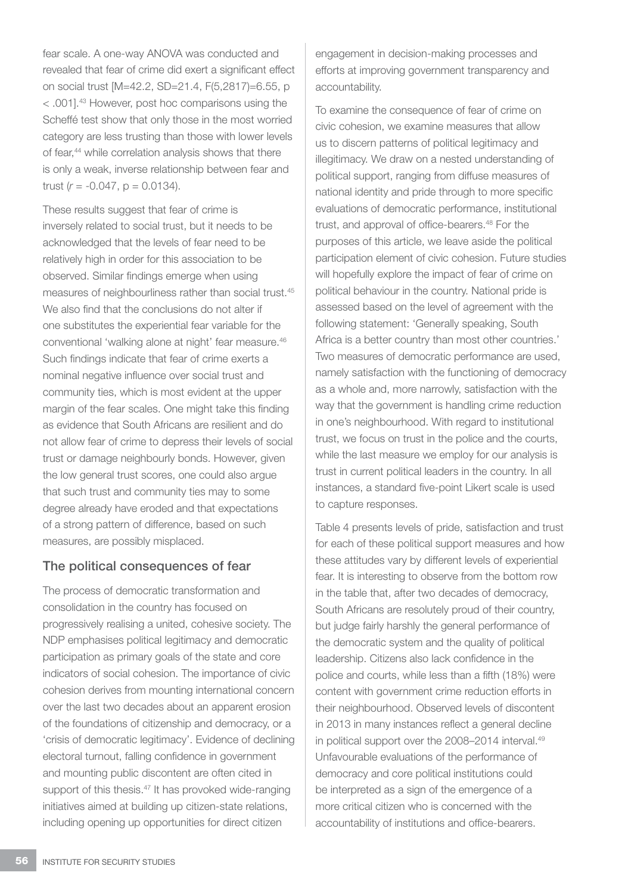fear scale. A one-way ANOVA was conducted and revealed that fear of crime did exert a significant effect on social trust [M=42.2, SD=21.4, F(5,2817)=6.55, p < .001].43 However, post hoc comparisons using the Scheffé test show that only those in the most worried category are less trusting than those with lower levels of fear,<sup>44</sup> while correlation analysis shows that there is only a weak, inverse relationship between fear and trust  $(r = -0.047, p = 0.0134)$ .

These results suggest that fear of crime is inversely related to social trust, but it needs to be acknowledged that the levels of fear need to be relatively high in order for this association to be observed. Similar findings emerge when using measures of neighbourliness rather than social trust.<sup>45</sup> We also find that the conclusions do not alter if one substitutes the experiential fear variable for the conventional 'walking alone at night' fear measure.46 Such findings indicate that fear of crime exerts a nominal negative influence over social trust and community ties, which is most evident at the upper margin of the fear scales. One might take this finding as evidence that South Africans are resilient and do not allow fear of crime to depress their levels of social trust or damage neighbourly bonds. However, given the low general trust scores, one could also argue that such trust and community ties may to some degree already have eroded and that expectations of a strong pattern of difference, based on such measures, are possibly misplaced.

#### The political consequences of fear

The process of democratic transformation and consolidation in the country has focused on progressively realising a united, cohesive society. The NDP emphasises political legitimacy and democratic participation as primary goals of the state and core indicators of social cohesion. The importance of civic cohesion derives from mounting international concern over the last two decades about an apparent erosion of the foundations of citizenship and democracy, or a 'crisis of democratic legitimacy'. Evidence of declining electoral turnout, falling confidence in government and mounting public discontent are often cited in support of this thesis.<sup>47</sup> It has provoked wide-ranging initiatives aimed at building up citizen-state relations, including opening up opportunities for direct citizen

engagement in decision-making processes and efforts at improving government transparency and accountability.

To examine the consequence of fear of crime on civic cohesion, we examine measures that allow us to discern patterns of political legitimacy and illegitimacy. We draw on a nested understanding of political support, ranging from diffuse measures of national identity and pride through to more specific evaluations of democratic performance, institutional trust, and approval of office-bearers.<sup>48</sup> For the purposes of this article, we leave aside the political participation element of civic cohesion. Future studies will hopefully explore the impact of fear of crime on political behaviour in the country. National pride is assessed based on the level of agreement with the following statement: 'Generally speaking, South Africa is a better country than most other countries.' Two measures of democratic performance are used, namely satisfaction with the functioning of democracy as a whole and, more narrowly, satisfaction with the way that the government is handling crime reduction in one's neighbourhood. With regard to institutional trust, we focus on trust in the police and the courts, while the last measure we employ for our analysis is trust in current political leaders in the country. In all instances, a standard five-point Likert scale is used to capture responses.

Table 4 presents levels of pride, satisfaction and trust for each of these political support measures and how these attitudes vary by different levels of experiential fear. It is interesting to observe from the bottom row in the table that, after two decades of democracy, South Africans are resolutely proud of their country, but judge fairly harshly the general performance of the democratic system and the quality of political leadership. Citizens also lack confidence in the police and courts, while less than a fifth (18%) were content with government crime reduction efforts in their neighbourhood. Observed levels of discontent in 2013 in many instances reflect a general decline in political support over the 2008–2014 interval.<sup>49</sup> Unfavourable evaluations of the performance of democracy and core political institutions could be interpreted as a sign of the emergence of a more critical citizen who is concerned with the accountability of institutions and office-bearers.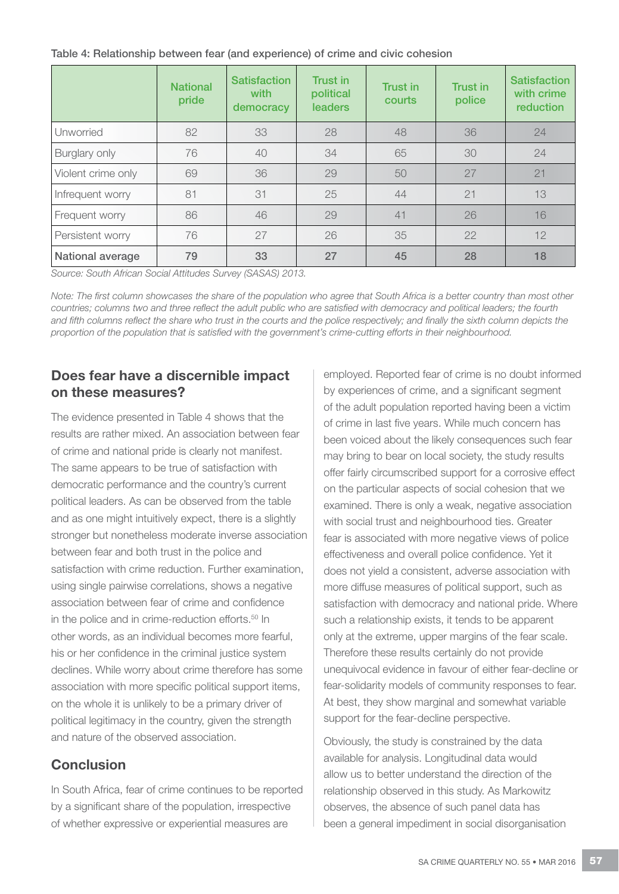Table 4: Relationship between fear (and experience) of crime and civic cohesion

|                    | <b>National</b><br>pride | <b>Satisfaction</b><br>with<br>democracy | Trust in<br>political<br><b>leaders</b> | Trust in<br>courts | Trust in<br>police | <b>Satisfaction</b><br>with crime<br>reduction |
|--------------------|--------------------------|------------------------------------------|-----------------------------------------|--------------------|--------------------|------------------------------------------------|
| Unworried          | 82                       | 33                                       | 28                                      | 48                 | 36                 | 24                                             |
| Burglary only      | 76                       | 40                                       | 34                                      | 65                 | 30                 | 24                                             |
| Violent crime only | 69                       | 36                                       | 29                                      | 50                 | 27                 | 21                                             |
| Infrequent worry   | 81                       | 31                                       | 25                                      | 44                 | 21                 | 13                                             |
| Frequent worry     | 86                       | 46                                       | 29                                      | 41                 | 26                 | 16                                             |
| Persistent worry   | 76                       | 27                                       | 26                                      | 35                 | 22                 | 12                                             |
| National average   | 79                       | 33                                       | 27                                      | 45                 | 28                 | 18                                             |

*Source: South African Social Attitudes Survey (SASAS) 2013.*

*Note: The first column showcases the share of the population who agree that South Africa is a better country than most other countries; columns two and three reflect the adult public who are satisfied with democracy and political leaders; the fourth and fifth columns reflect the share who trust in the courts and the police respectively; and finally the sixth column depicts the proportion of the population that is satisfied with the government's crime-cutting efforts in their neighbourhood.* 

## Does fear have a discernible impact on these measures?

The evidence presented in Table 4 shows that the results are rather mixed. An association between fear of crime and national pride is clearly not manifest. The same appears to be true of satisfaction with democratic performance and the country's current political leaders. As can be observed from the table and as one might intuitively expect, there is a slightly stronger but nonetheless moderate inverse association between fear and both trust in the police and satisfaction with crime reduction. Further examination, using single pairwise correlations, shows a negative association between fear of crime and confidence in the police and in crime-reduction efforts.<sup>50</sup> In other words, as an individual becomes more fearful, his or her confidence in the criminal justice system declines. While worry about crime therefore has some association with more specific political support items, on the whole it is unlikely to be a primary driver of political legitimacy in the country, given the strength and nature of the observed association.

## **Conclusion**

In South Africa, fear of crime continues to be reported by a significant share of the population, irrespective of whether expressive or experiential measures are

employed. Reported fear of crime is no doubt informed by experiences of crime, and a significant segment of the adult population reported having been a victim of crime in last five years. While much concern has been voiced about the likely consequences such fear may bring to bear on local society, the study results offer fairly circumscribed support for a corrosive effect on the particular aspects of social cohesion that we examined. There is only a weak, negative association with social trust and neighbourhood ties. Greater fear is associated with more negative views of police effectiveness and overall police confidence. Yet it does not yield a consistent, adverse association with more diffuse measures of political support, such as satisfaction with democracy and national pride. Where such a relationship exists, it tends to be apparent only at the extreme, upper margins of the fear scale. Therefore these results certainly do not provide unequivocal evidence in favour of either fear-decline or fear-solidarity models of community responses to fear. At best, they show marginal and somewhat variable support for the fear-decline perspective.

Obviously, the study is constrained by the data available for analysis. Longitudinal data would allow us to better understand the direction of the relationship observed in this study. As Markowitz observes, the absence of such panel data has been a general impediment in social disorganisation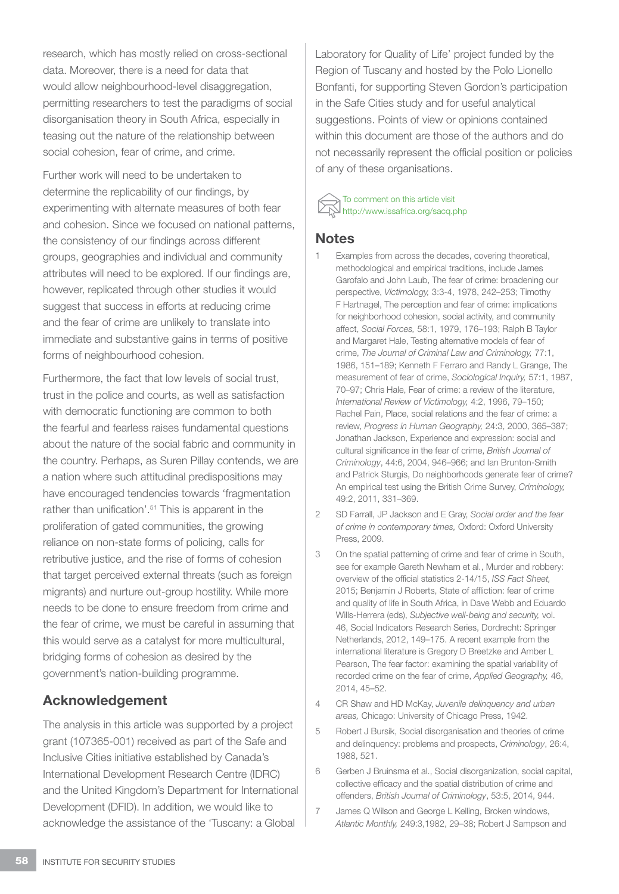research, which has mostly relied on cross-sectional data. Moreover, there is a need for data that would allow neighbourhood-level disaggregation, permitting researchers to test the paradigms of social disorganisation theory in South Africa, especially in teasing out the nature of the relationship between social cohesion, fear of crime, and crime.

Further work will need to be undertaken to determine the replicability of our findings, by experimenting with alternate measures of both fear and cohesion. Since we focused on national patterns, the consistency of our findings across different groups, geographies and individual and community attributes will need to be explored. If our findings are, however, replicated through other studies it would suggest that success in efforts at reducing crime and the fear of crime are unlikely to translate into immediate and substantive gains in terms of positive forms of neighbourhood cohesion.

Furthermore, the fact that low levels of social trust, trust in the police and courts, as well as satisfaction with democratic functioning are common to both the fearful and fearless raises fundamental questions about the nature of the social fabric and community in the country. Perhaps, as Suren Pillay contends, we are a nation where such attitudinal predispositions may have encouraged tendencies towards 'fragmentation rather than unification'.<sup>51</sup> This is apparent in the proliferation of gated communities, the growing reliance on non-state forms of policing, calls for retributive justice, and the rise of forms of cohesion that target perceived external threats (such as foreign migrants) and nurture out-group hostility. While more needs to be done to ensure freedom from crime and the fear of crime, we must be careful in assuming that this would serve as a catalyst for more multicultural, bridging forms of cohesion as desired by the government's nation-building programme.

#### Acknowledgement

The analysis in this article was supported by a project grant (107365-001) received as part of the Safe and Inclusive Cities initiative established by Canada's International Development Research Centre (IDRC) and the United Kingdom's Department for International Development (DFID). In addition, we would like to acknowledge the assistance of the 'Tuscany: a Global

Laboratory for Quality of Life' project funded by the Region of Tuscany and hosted by the Polo Lionello Bonfanti, for supporting Steven Gordon's participation in the Safe Cities study and for useful analytical suggestions. Points of view or opinions contained within this document are those of the authors and do not necessarily represent the official position or policies of any of these organisations.

#### To comment on this article visit http://www.issafrica.org/sacq.php

#### **Notes**

- Examples from across the decades, covering theoretical, methodological and empirical traditions, include James Garofalo and John Laub, The fear of crime: broadening our perspective, *Victimology,* 3:3-4, 1978, 242–253; Timothy F Hartnagel, The perception and fear of crime: implications for neighborhood cohesion, social activity, and community affect, *Social Forces,* 58:1, 1979, 176–193; Ralph B Taylor and Margaret Hale, Testing alternative models of fear of crime, *The Journal of Criminal Law and Criminology,* 77:1, 1986, 151–189; Kenneth F Ferraro and Randy L Grange, The measurement of fear of crime, *Sociological Inquiry,* 57:1, 1987, 70–97; Chris Hale, Fear of crime: a review of the literature, *International Review of Victimology,* 4:2, 1996, 79–150; Rachel Pain, Place, social relations and the fear of crime: a review, *Progress in Human Geography,* 24:3, 2000, 365–387; Jonathan Jackson, Experience and expression: social and cultural significance in the fear of crime, *British Journal of Criminology*, 44:6, 2004, 946–966; and Ian Brunton-Smith and Patrick Sturgis, Do neighborhoods generate fear of crime? An empirical test using the British Crime Survey, *Criminology,*  49:2, 2011, 331–369.
- 2 SD Farrall, JP Jackson and E Gray, *Social order and the fear of crime in contemporary times,* Oxford: Oxford University Press, 2009.
- 3 On the spatial patterning of crime and fear of crime in South, see for example Gareth Newham et al., Murder and robbery: overview of the official statistics 2-14/15, *ISS Fact Sheet,* 2015; Benjamin J Roberts, State of affliction: fear of crime and quality of life in South Africa, in Dave Webb and Eduardo Wills-Herrera (eds), *Subjective well-being and security,* vol. 46, Social Indicators Research Series, Dordrecht: Springer Netherlands, 2012, 149–175. A recent example from the international literature is Gregory D Breetzke and Amber L Pearson, The fear factor: examining the spatial variability of recorded crime on the fear of crime, *Applied Geography,* 46, 2014, 45–52.
- 4 CR Shaw and HD McKay, *Juvenile delinquency and urban areas,* Chicago: University of Chicago Press, 1942.
- 5 Robert J Bursik, Social disorganisation and theories of crime and delinquency: problems and prospects, *Criminology*, 26:4, 1988, 521.
- 6 Gerben J Bruinsma et al., Social disorganization, social capital, collective efficacy and the spatial distribution of crime and offenders, *British Journal of Criminology*, 53:5, 2014, 944.
- 7 James Q Wilson and George L Kelling, Broken windows, *Atlantic Monthly,* 249:3,1982, 29–38; Robert J Sampson and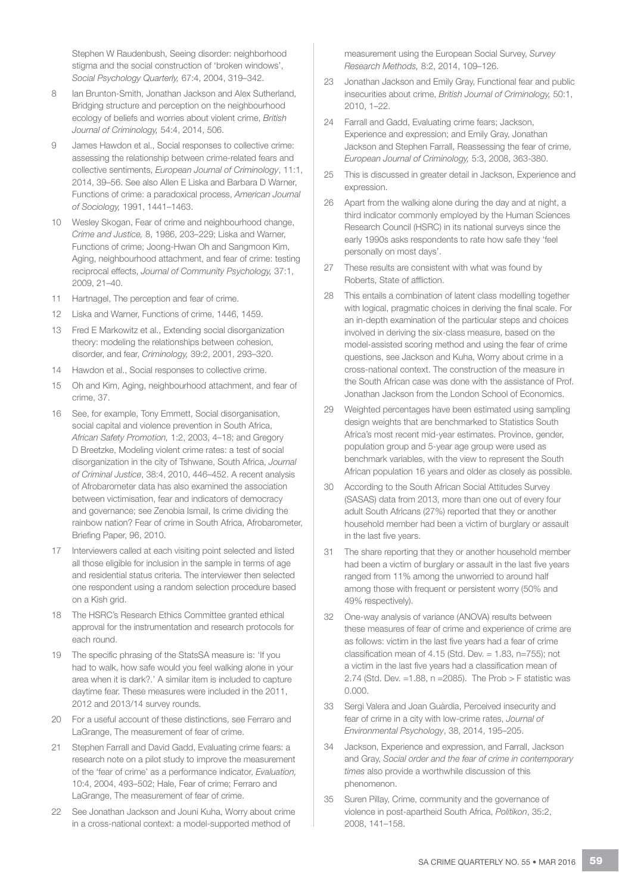Stephen W Raudenbush, Seeing disorder: neighborhood stigma and the social construction of 'broken windows', *Social Psychology Quarterly,* 67:4, 2004, 319–342.

- 8 Ian Brunton-Smith, Jonathan Jackson and Alex Sutherland, Bridging structure and perception on the neighbourhood ecology of beliefs and worries about violent crime, *British Journal of Criminology,* 54:4, 2014, 506.
- 9 James Hawdon et al., Social responses to collective crime: assessing the relationship between crime-related fears and collective sentiments, *European Journal of Criminology*, 11:1, 2014, 39–56. See also Allen E Liska and Barbara D Warner, Functions of crime: a paradoxical process, *American Journal of Sociology,* 1991, 1441–1463.
- 10 Wesley Skogan, Fear of crime and neighbourhood change, *Crime and Justice,* 8, 1986, 203–229; Liska and Warner, Functions of crime; Joong-Hwan Oh and Sangmoon Kim, Aging, neighbourhood attachment, and fear of crime: testing reciprocal effects, *Journal of Community Psychology,* 37:1, 2009, 21–40.
- 11 Hartnagel, The perception and fear of crime.
- 12 Liska and Warner, Functions of crime, 1446, 1459.
- 13 Fred E Markowitz et al., Extending social disorganization theory: modeling the relationships between cohesion, disorder, and fear, *Criminology,* 39:2, 2001, 293–320.
- 14 Hawdon et al., Social responses to collective crime.
- 15 Oh and Kim, Aging, neighbourhood attachment, and fear of crime, 37.
- 16 See, for example, Tony Emmett, Social disorganisation, social capital and violence prevention in South Africa, *African Safety Promotion,* 1:2, 2003, 4–18; and Gregory D Breetzke, Modeling violent crime rates: a test of social disorganization in the city of Tshwane, South Africa, *Journal of Criminal Justice*, 38:4, 2010, 446–452. A recent analysis of Afrobarometer data has also examined the association between victimisation, fear and indicators of democracy and governance; see Zenobia Ismail, Is crime dividing the rainbow nation? Fear of crime in South Africa, Afrobarometer, Briefing Paper, 96, 2010.
- 17 Interviewers called at each visiting point selected and listed all those eligible for inclusion in the sample in terms of age and residential status criteria. The interviewer then selected one respondent using a random selection procedure based on a Kish grid.
- 18 The HSRC's Research Ethics Committee granted ethical approval for the instrumentation and research protocols for each round.
- 19 The specific phrasing of the StatsSA measure is: 'If you had to walk, how safe would you feel walking alone in your area when it is dark?.' A similar item is included to capture daytime fear. These measures were included in the 2011, 2012 and 2013/14 survey rounds.
- 20 For a useful account of these distinctions, see Ferraro and LaGrange, The measurement of fear of crime.
- 21 Stephen Farrall and David Gadd, Evaluating crime fears: a research note on a pilot study to improve the measurement of the 'fear of crime' as a performance indicator, *Evaluation,* 10:4, 2004, 493–502; Hale, Fear of crime; Ferraro and LaGrange, The measurement of fear of crime.
- 22 See Jonathan Jackson and Jouni Kuha, Worry about crime in a cross-national context: a model-supported method of

measurement using the European Social Survey, *Survey Research Methods,* 8:2, 2014, 109–126.

- 23 Jonathan Jackson and Emily Gray, Functional fear and public insecurities about crime, *British Journal of Criminology,* 50:1, 2010, 1–22.
- 24 Farrall and Gadd, Evaluating crime fears; Jackson, Experience and expression; and Emily Gray, Jonathan Jackson and Stephen Farrall, Reassessing the fear of crime, *European Journal of Criminology,* 5:3, 2008, 363-380.
- 25 This is discussed in greater detail in Jackson, Experience and expression.
- 26 Apart from the walking alone during the day and at night, a third indicator commonly employed by the Human Sciences Research Council (HSRC) in its national surveys since the early 1990s asks respondents to rate how safe they 'feel personally on most days'.
- 27 These results are consistent with what was found by Roberts, State of affliction.
- 28 This entails a combination of latent class modelling together with logical, pragmatic choices in deriving the final scale. For an in-depth examination of the particular steps and choices involved in deriving the six-class measure, based on the model-assisted scoring method and using the fear of crime questions, see Jackson and Kuha, Worry about crime in a cross-national context. The construction of the measure in the South African case was done with the assistance of Prof. Jonathan Jackson from the London School of Economics.
- 29 Weighted percentages have been estimated using sampling design weights that are benchmarked to Statistics South Africa's most recent mid-year estimates. Province, gender, population group and 5-year age group were used as benchmark variables, with the view to represent the South African population 16 years and older as closely as possible.
- 30 According to the South African Social Attitudes Survey (SASAS) data from 2013, more than one out of every four adult South Africans (27%) reported that they or another household member had been a victim of burglary or assault in the last five years.
- 31 The share reporting that they or another household member had been a victim of burglary or assault in the last five years ranged from 11% among the unworried to around half among those with frequent or persistent worry (50% and 49% respectively).
- 32 One-way analysis of variance (ANOVA) results between these measures of fear of crime and experience of crime are as follows: victim in the last five years had a fear of crime classification mean of 4.15 (Std. Dev.  $= 1.83$ , n=755); not a victim in the last five years had a classification mean of 2.74 (Std. Dev.  $=1.88$ , n  $=2085$ ). The Prob > F statistic was 0.000.
- 33 Sergi Valera and Joan Guàrdia, Perceived insecurity and fear of crime in a city with low-crime rates, *Journal of Environmental Psychology*, 38, 2014, 195–205.
- 34 Jackson, Experience and expression, and Farrall, Jackson and Gray, *Social order and the fear of crime in contemporary times* also provide a worthwhile discussion of this phenomenon.
- 35 Suren Pillay, Crime, community and the governance of violence in post-apartheid South Africa, *Politikon*, 35:2, 2008, 141–158.